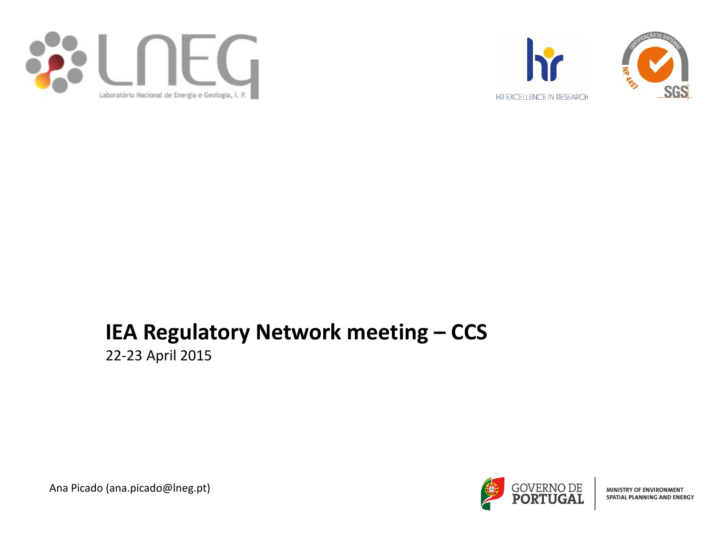



## **IEA Regulatory Network meeting – CCS**

22-23 April 2015



MINISTRY OF ENVIRONMENT **SPATIAL PLANNING AND ENERGY** 

Ana Picado (ana.picado@lneg.pt)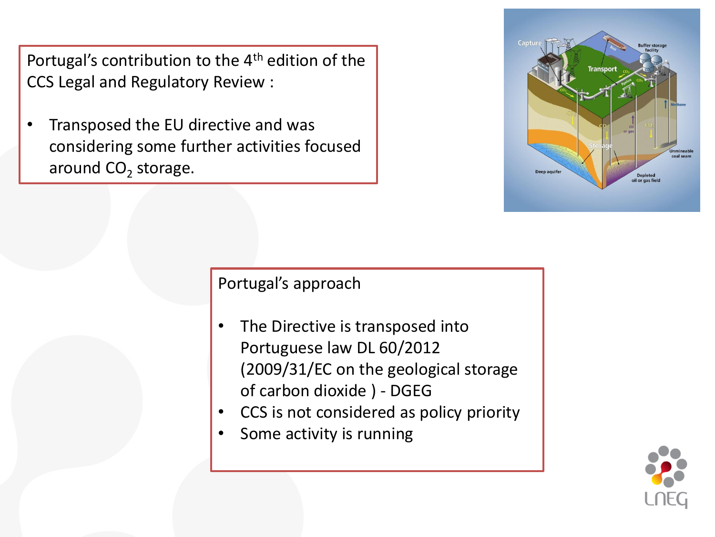Portugal's contribution to the 4<sup>th</sup> edition of the CCS Legal and Regulatory Review :

• Transposed the EU directive and was considering some further activities focused around CO<sub>2</sub> storage.



Portugal's approach

- The Directive is transposed into Portuguese law DL 60/2012 (2009/31/EC on the geological storage of carbon dioxide ) - DGEG
- CCS is not considered as policy priority
- Some activity is running

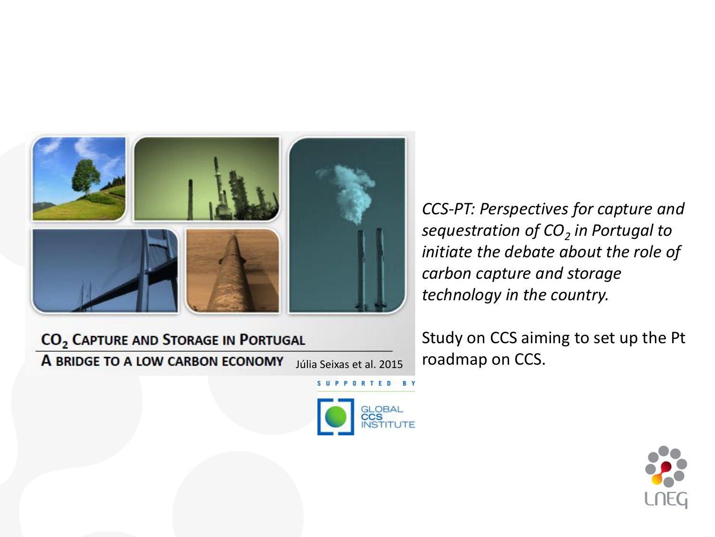

CO<sub>2</sub> CAPTURE AND STORAGE IN PORTUGAL A BRIDGE TO A LOW CARBON ECONOMY

*CCS-PT: Perspectives for capture and sequestration of CO<sup>2</sup> in Portugal to initiate the debate about the role of carbon capture and storage technology in the country.*

Study on CCS aiming to set up the Pt  $\overline{Júlia Seixas et al. 2015}$  roadmap on CCS.



SUPPORTED BY

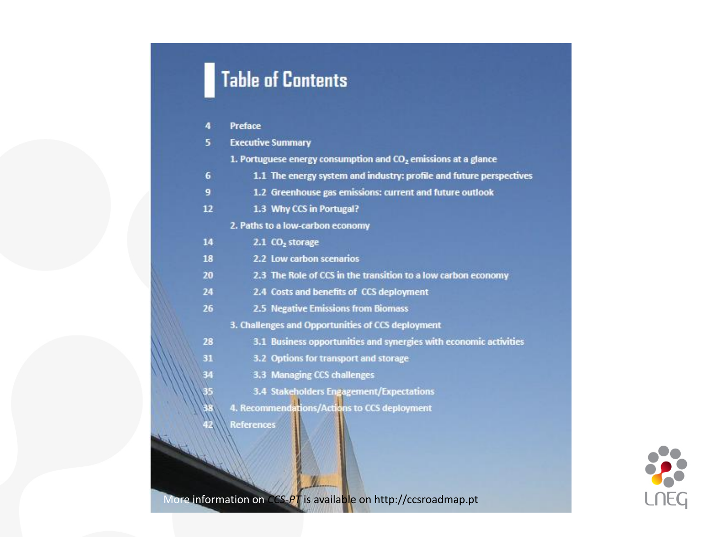# **Table of Contents**

| 4        | Preface                                                                    |  |  |  |  |
|----------|----------------------------------------------------------------------------|--|--|--|--|
| 5.       | <b>Executive Summary</b>                                                   |  |  |  |  |
|          | 1. Portuguese energy consumption and CO <sub>2</sub> emissions at a glance |  |  |  |  |
| 6        | 1.1 The energy system and industry: profile and future perspectives        |  |  |  |  |
| 9        | 1.2 Greenhouse gas emissions: current and future outlook                   |  |  |  |  |
| 12       | 1.3 Why CCS in Portugal?                                                   |  |  |  |  |
|          | 2. Paths to a low-carbon economy                                           |  |  |  |  |
| 14       | 2.1 CO <sub>2</sub> storage                                                |  |  |  |  |
| 18       | 2.2 Low carbon scenarios                                                   |  |  |  |  |
| 20       | 2.3 The Role of CCS in the transition to a low carbon economy              |  |  |  |  |
| 24       | 2.4 Costs and benefits of CCS deployment                                   |  |  |  |  |
| 26       | 2.5 Negative Emissions from Biomass                                        |  |  |  |  |
|          | 3. Challenges and Opportunities of CCS deployment                          |  |  |  |  |
| 28       | 3.1 Business opportunities and synergies with economic activities          |  |  |  |  |
| 31       | 3.2 Options for transport and storage                                      |  |  |  |  |
| 34       | 3.3 Managing CCS challenges                                                |  |  |  |  |
|          | 3.4 Stakeholders Engagement/Expectations                                   |  |  |  |  |
| 35<br>38 | 4. Recommendations/Actions to CCS deployment                               |  |  |  |  |
|          | <b>References</b>                                                          |  |  |  |  |
|          |                                                                            |  |  |  |  |
|          |                                                                            |  |  |  |  |
|          |                                                                            |  |  |  |  |



More information on *CCS-PT* is available on http://ccsroadmap.pt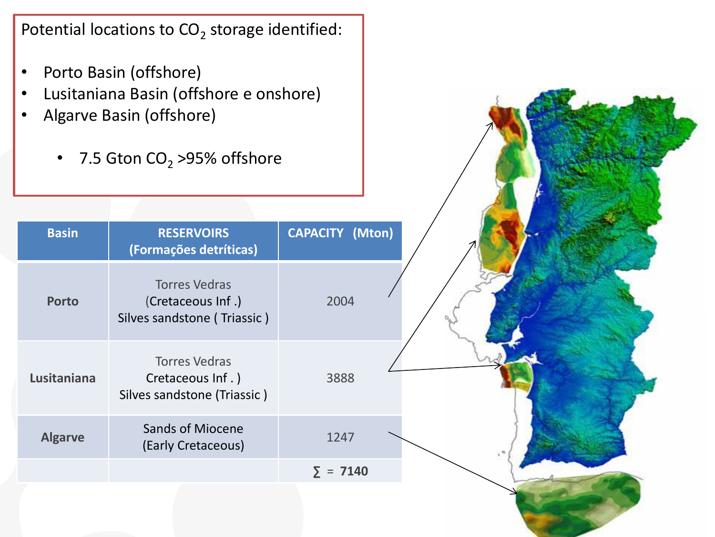Potential locations to  $CO<sub>2</sub>$  storage identified:

- Porto Basin (offshore)
- Lusitaniana Basin (offshore e onshore)
- Algarve Basin (offshore)
	- 7.5 Gton  $CO<sub>2</sub>$  >95% offshore

| <b>Basin</b>   | <b>RESERVOIRS</b><br>(Formações detríticas)                              | <b>CAPACITY (Mton)</b> |
|----------------|--------------------------------------------------------------------------|------------------------|
| <b>Porto</b>   | <b>Torres Vedras</b><br>(Cretaceous Inf.)<br>Silves sandstone (Triassic) | 2004                   |
| Lusitaniana    | <b>Torres Vedras</b><br>Cretaceous Inf.)<br>Silves sandstone (Triassic)  | 3888                   |
| <b>Algarve</b> | <b>Sands of Miocene</b><br>(Early Cretaceous)                            | 1247                   |
|                |                                                                          | $\Sigma = 7140$        |
|                |                                                                          |                        |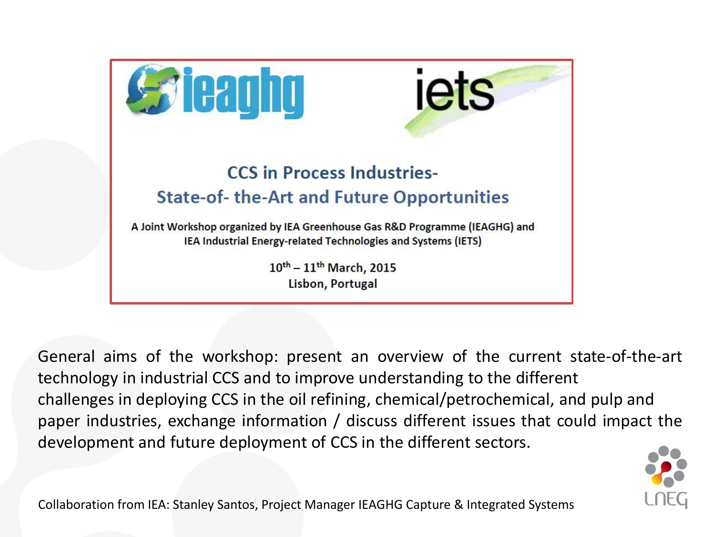

General aims of the workshop: present an overview of the current state-of-the-art technology in industrial CCS and to improve understanding to the different challenges in deploying CCS in the oil refining, chemical/petrochemical, and pulp and paper industries, exchange information / discuss different issues that could impact the development and future deployment of CCS in the different sectors.



Collaboration from IEA: Stanley Santos, Project Manager IEAGHG Capture & Integrated Systems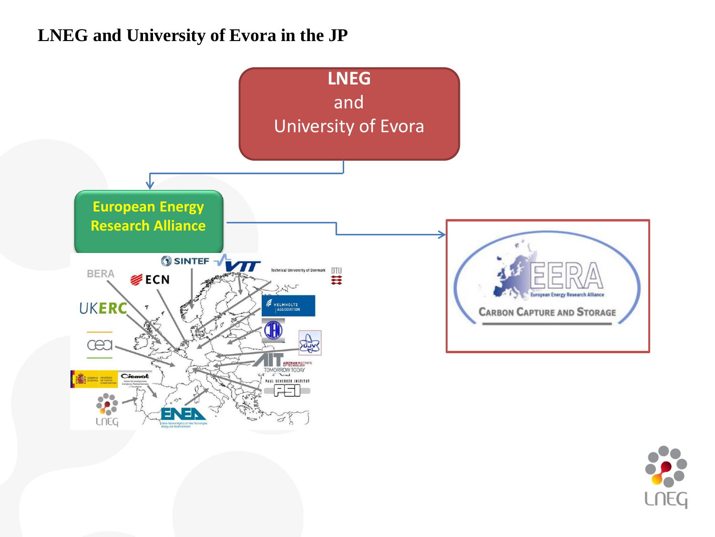#### **LNEG and University of Evora in the JP**



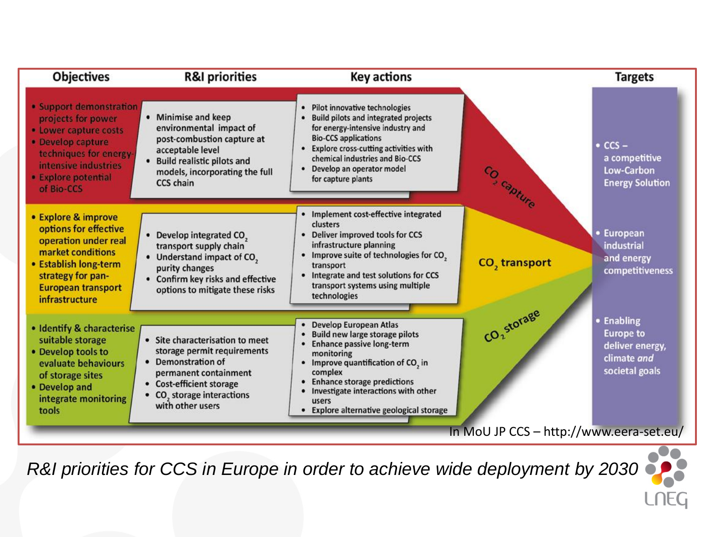

*R&I priorities for CCS in Europe in order to achieve wide deployment by 2030*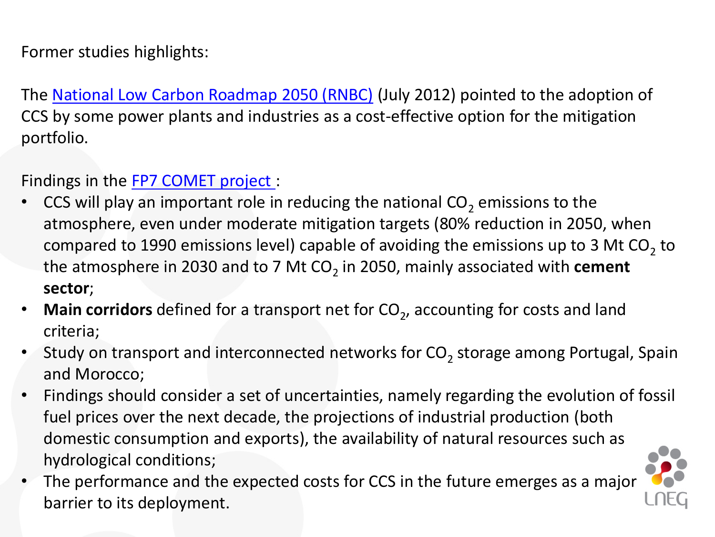### Former studies highlights:

The [National Low Carbon Roadmap](http://www.apambiente.pt/_zdata/DESTAQUES/2012/RNBC_COMPLETO_2050_V04.pdf) [2050](http://www.apambiente.pt/_zdata/DESTAQUES/2012/RNBC_COMPLETO_2050_V04.pdf) [\(RNBC\)](http://www.apambiente.pt/_zdata/DESTAQUES/2012/RNBC_COMPLETO_2050_V04.pdf) (July 2012) pointed to the adoption of CCS by some power plants and industries as a cost-effective option for the mitigation portfolio.

#### Findings in the [FP7 COMET project](http://comet.lneg.pt/)[:](http://comet.lneg.pt/)

- CCS will play an important role in reducing the national  $CO<sub>2</sub>$  emissions to the atmosphere, even under moderate mitigation targets (80% reduction in 2050, when compared to 1990 emissions level) capable of avoiding the emissions up to 3 Mt CO<sub>2</sub> to the atmosphere in 2030 and to 7 Mt CO<sub>2</sub> in 2050, mainly associated with **cement sector**;
- Main corridors defined for a transport net for CO<sub>2</sub>, accounting for costs and land criteria;
- Study on transport and interconnected networks for  $CO_2$  storage among Portugal, Spain and Morocco;
- Findings should consider a set of uncertainties, namely regarding the evolution of fossil fuel prices over the next decade, the projections of industrial production (both domestic consumption and exports), the availability of natural resources such as hydrological conditions;
- The performance and the expected costs for CCS in the future emerges as a major barrier to its deployment.